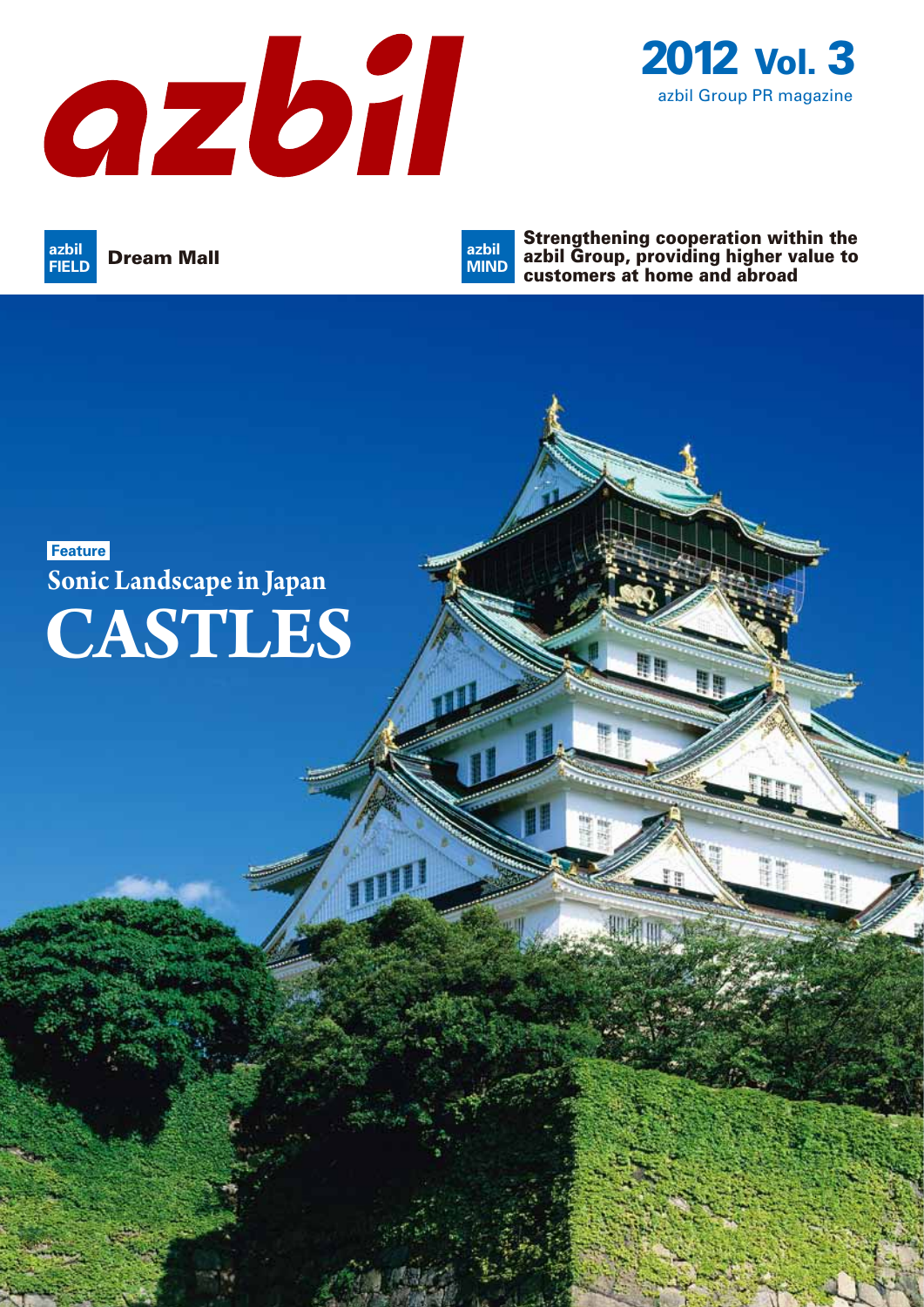



**Dream Mall FIELD**

Strengthening cooperation within the azbil Group, providing higher value to customers at home and abroad **azbil MIND**

## **Feature CASTLES Sonic Landscape in Japan**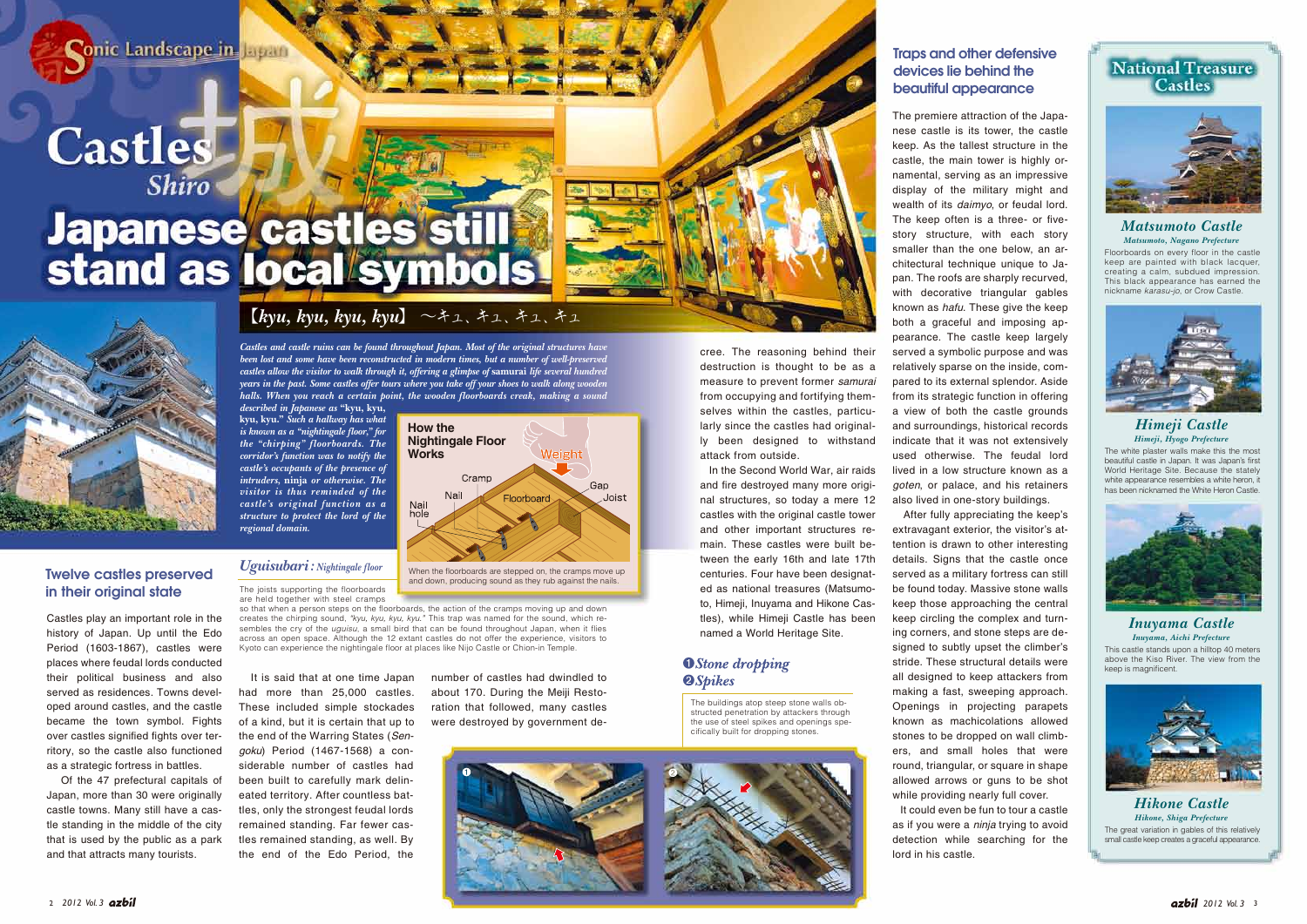**Conic Landscape in lapan** 

**Castles** 

# Japanese castles still



### 【*kyu, kyu, kyu, kyu*】 〜キュ、キュ、キュ、キュ

Floorboards on every floor in the castle keep are painted with black lacquer, creating a calm, subdued impression. This black appearance has earned the *Matsumoto, Nagano Prefecture*

nickname *karasu-jo*, or Crow Castle.





The white plaster walls make this the most beautiful castle in Japan. It was Japan's first World Heritage Site. Because the stately white appearance resembles a white heron, it has been nicknamed the White Heron Castle.



### *Himeji Castle Himeji, Hyogo Prefecture*

This castle stands upon a hilltop 40 meters above the Kiso River. The view from the keep is magnificent. *Inuyama, Aichi Prefecture*

*Inuyama Castle*



The great variation in gables of this relatively small castle keep creates a graceful appearance. *Hikone Castle Hikone, Shiga Prefecture*



*Castles and castle ruins can be found throughout Japan. Most of the original structures have been lost and some have been reconstructed in modern times, but a number of well-preserved castles allow the visitor to walk through it, offering a glimpse of* **samurai** *life several hundred years in the past. Some castles offer tours where you take off your shoes to walk along wooden halls. When you reach a certain point, the wooden floorboards creak, making a sound* 

*described in Japanese as* **"kyu, kyu, kyu, kyu."** *Such a hallway has what is known as a "nightingale floor," for the "chirping" floorboards. The corridor's function was to notify the castle's occupants of the presence of intruders,* **ninja** *or otherwise. The visitor is thus reminded of the castle's original function as a structure to protect the lord of the regional domain.*

cree. The reasoning behind their destruction is thought to be as a measure to prevent former *samurai* from occupying and fortifying themselves within the castles, particularly since the castles had originally been designed to withstand attack from outside.

 In the Second World War, air raids and fire destroyed many more original structures, so today a mere 12 castles with the original castle tower and other important structures remain. These castles were built between the early 16th and late 17th centuries. Four have been designated as national treasures (Matsumoto, Himeji, Inuyama and Hikone Castles), while Himeji Castle has been named a World Heritage Site.

### **O**Stone dropping **@Spikes**

The premiere attraction of the Japanese castle is its tower, the castle keep. As the tallest structure in the castle, the main tower is highly ornamental, serving as an impressive display of the military might and wealth of its *daimyo*, or feudal lord. The keep often is a three- or fivestory structure, with each story smaller than the one below, an architectural technique unique to Japan. The roofs are sharply recurved, with decorative triangular gables known as *hafu*. These give the keep both a graceful and imposing appearance. The castle keep largely served a symbolic purpose and was relatively sparse on the inside, compared to its external splendor. Aside from its strategic function in offering a view of both the castle grounds and surroundings, historical records indicate that it was not extensively used otherwise. The feudal lord lived in a low structure known as a *goten*, or palace, and his retainers also lived in one-story buildings.

 After fully appreciating the keep's extravagant exterior, the visitor's attention is drawn to other interesting details. Signs that the castle once served as a military fortress can still be found today. Massive stone walls keep those approaching the central keep circling the complex and turning corners, and stone steps are designed to subtly upset the climber's stride. These structural details were all designed to keep attackers from making a fast, sweeping approach. Openings in projecting parapets known as machicolations allowed stones to be dropped on wall climbers, and small holes that were round, triangular, or square in shape allowed arrows or guns to be shot while providing nearly full cover. It could even be fun to tour a castle

as if you were a *ninja* trying to avoid detection while searching for the lord in his castle.

### Traps and other defensive devices lie behind the beautiful appearance

The buildings atop steep stone walls obstructed penetration by attackers through the use of steel spikes and openings specifically built for dropping stones.



The joists supporting the floorboards are held together with steel cramps

so that when a person steps on the floorboards, the action of the cramps moving up and down creates the chirping sound, *"kyu, kyu, kyu, kyu."* This trap was named for the sound, which resembles the cry of the *uguisu*, a small bird that can be found throughout Japan, when it flies across an open space. Although the 12 extant castles do not offer the experience, visitors to Kyoto can experience the nightingale floor at places like Nijo Castle or Chion-in Temple.

*Uguisubari: Nightingale floor*

number of castles had dwindled to about 170. During the Meiji Restoration that followed, many castles were destroyed by government de-



 It is said that at one time Japan had more than 25,000 castles. These included simple stockades of a kind, but it is certain that up to the end of the Warring States (*Sengoku*) Period (1467-1568) a considerable number of castles had been built to carefully mark delineated territory. After countless battles, only the strongest feudal lords remained standing. Far fewer castles remained standing, as well. By the end of the Edo Period, the became the town symbol. Fights ritory, so the castle also functioned Of the 47 prefectural capitals of that is used by the public as a park

Castles play an important role in the history of Japan. Up until the Edo Period (1603-1867), castles were places where feudal lords conducted their political business and also served as residences. Towns developed around castles, and the castle

over castles signified fights over ter-

as a strategic fortress in battles.

Japan, more than 30 were originally castle towns. Many still have a castle standing in the middle of the city

and that attracts many tourists.

Twelve castles preserved

in their original state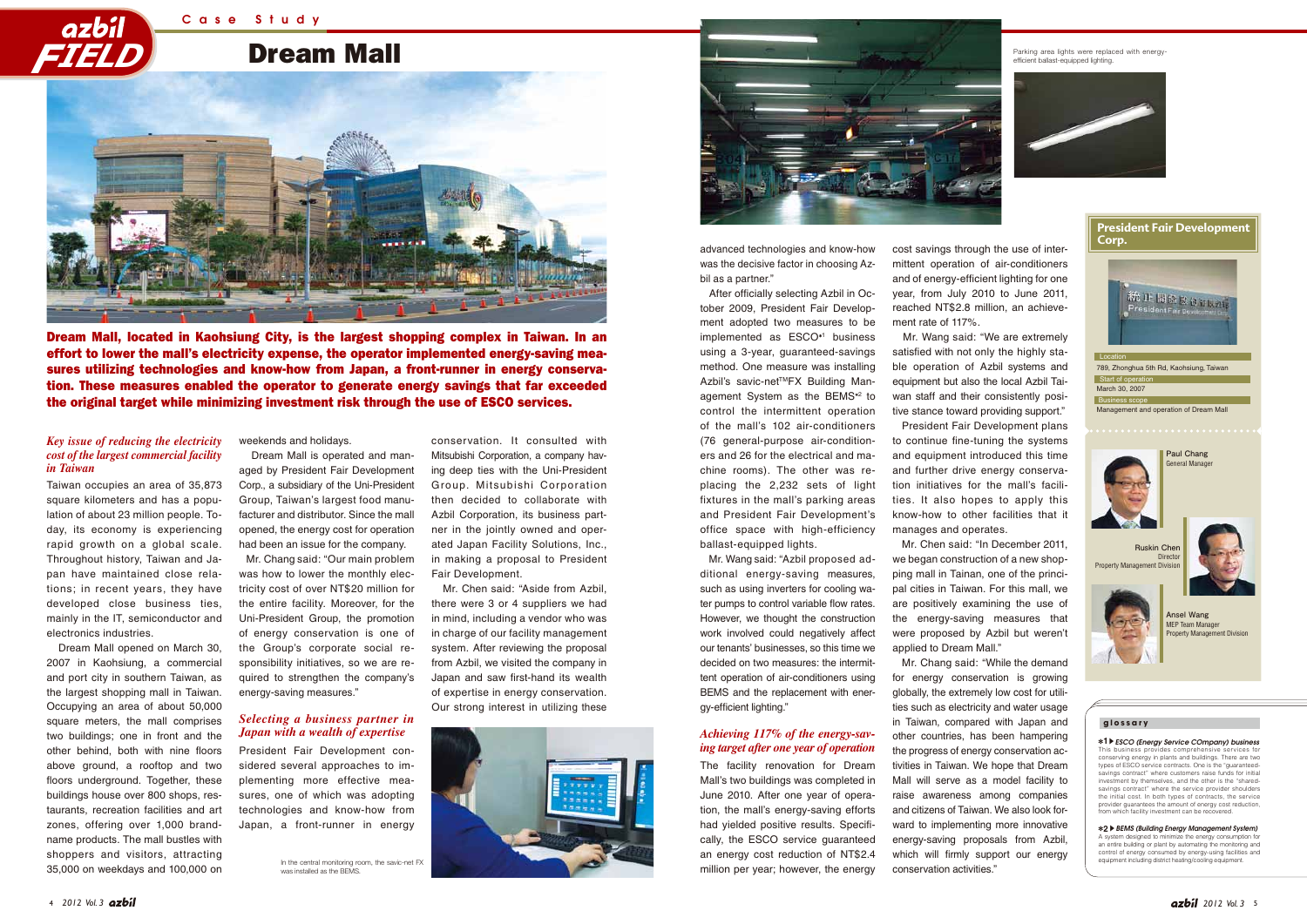Dream Mall

Case Study

# *FIELD*



Dream Mall, located in Kaohsiung City, is the largest shopping complex in Taiwan. In an effort to lower the mall's electricity expense, the operator implemented energy-saving measures utilizing technologies and know-how from Japan, a front-runner in energy conservation. These measures enabled the operator to generate energy savings that far exceeded the original target while minimizing investment risk through the use of ESCO services.

advanced technologies and know-how was the decisive factor in choosing Azbil as a partner."

 After officially selecting Azbil in October 2009, President Fair Development adopted two measures to be implemented as ESCO<sup>\*1</sup> business using a 3-year, guaranteed-savings method. One measure was installing Azbil's savic-net™FX Building Management System as the BEMS<sup>\*2</sup> to control the intermittent operation of the mall's 102 air-conditioners (76 general-purpose air-conditioners and 26 for the electrical and machine rooms). The other was replacing the 2,232 sets of light fixtures in the mall's parking areas and President Fair Development's office space with high-efficiency ballast-equipped lights.

 Mr. Wang said: "Azbil proposed additional energy-saving measures, such as using inverters for cooling water pumps to control variable flow rates. However, we thought the construction work involved could negatively affect our tenants' businesses, so this time we decided on two measures: the intermittent operation of air-conditioners using BEMS and the replacement with energy-efficient lighting."

The facility renovation for Dream Mall's two buildings was completed in June 2010. After one year of operation, the mall's energy-saving efforts had yielded positive results. Specifically, the ESCO service guaranteed an energy cost reduction of NT\$2.4 million per year; however, the energy

cost savings through the use of intermittent operation of air-conditioners and of energy-efficient lighting for one year, from July 2010 to June 2011, reached NT\$2.8 million, an achievement rate of 117%.

 Mr. Wang said: "We are extremely satisfied with not only the highly stable operation of Azbil systems and equipment but also the local Azbil Taiwan staff and their consistently positive stance toward providing support." President Fair Development plans to continue fine-tuning the systems and equipment introduced this time and further drive energy conservation initiatives for the mall's facilities. It also hopes to apply this know-how to other facilities that it manages and operates.

 Mr. Chen said: "In December 2011, we began construction of a new shopping mall in Tainan, one of the principal cities in Taiwan. For this mall, we are positively examining the use of the energy-saving measures that were proposed by Azbil but weren't applied to Dream Mall."

> **1**s*ESCO (Energy Service COmpany) business* This business pro conserving energy in plants and buildings. There are two types of ESCO service contracts. One is the "guaranteedsavings contract" where customers raise funds for initial investment by themselves, and the other is the "sharedsavings contract" where the service provider shoulders the initial cost. In both types of contracts, the service provider guarantees the amount of energy cost reduction, from which facility investment can be re

 Mr. Chang said: "While the demand for energy conservation is growing globally, the extremely low cost for utilities such as electricity and water usage in Taiwan, compared with Japan and other countries, has been hampering the progress of energy conservation activities in Taiwan. We hope that Dream Mall will serve as a model facility to raise awareness among companies and citizens of Taiwan. We also look forward to implementing more innovative energy-saving proposals from Azbil, which will firmly support our energy conservation activities."



Taiwan occupies an area of 35,873 square kilometers and has a population of about 23 million people. Today, its economy is experiencing rapid growth on a global scale. Throughout history, Taiwan and Japan have maintained close relations; in recent years, they have developed close business ties, mainly in the IT, semiconductor and electronics industries.

 Dream Mall opened on March 30, 2007 in Kaohsiung, a commercial and port city in southern Taiwan, as the largest shopping mall in Taiwan. Occupying an area of about 50,000 square meters, the mall comprises two buildings; one in front and the other behind, both with nine floors above ground, a rooftop and two floors underground. Together, these buildings house over 800 shops, restaurants, recreation facilities and art zones, offering over 1,000 brandname products. The mall bustles with shoppers and visitors, attracting 35,000 on weekdays and 100,000 on

weekends and holidays.

 Dream Mall is operated and managed by President Fair Development Corp., a subsidiary of the Uni-President Group, Taiwan's largest food manufacturer and distributor. Since the mall opened, the energy cost for operation had been an issue for the company.

 Mr. Chang said: "Our main problem was how to lower the monthly electricity cost of over NT\$20 million for the entire facility. Moreover, for the Uni-President Group, the promotion of energy conservation is one of the Group's corporate social responsibility initiatives, so we are required to strengthen the company's energy-saving measures."

President Fair Development considered several approaches to implementing more effective measures, one of which was adopting technologies and know-how from Japan, a front-runner in energy

conservation. It consulted with Mitsubishi Corporation, a company having deep ties with the Uni-President Group. Mitsubishi Corporation then decided to collaborate with Azbil Corporation, its business partner in the jointly owned and operated Japan Facility Solutions, Inc., in making a proposal to President Fair Development.

 Mr. Chen said: "Aside from Azbil, there were 3 or 4 suppliers we had in mind, including a vendor who was in charge of our facility management system. After reviewing the proposal from Azbil, we visited the company in Japan and saw first-hand its wealth of expertise in energy conservation. Our strong interest in utilizing these

### *Key issue of reducing the electricity cost of the largest commercial facility in Taiwan*

### *Selecting a business partner in*





### *ing target after one year of operation*

In the central monitoring room, the savic-net FX was installed as the BEMS.





**2**s*BEMS (Building Energy Management System)* hize the energy consumption for an entire building or plant by automating the monitoring and control of energy consumed by energy-using facilities and equipment including district heating/cooling equipment.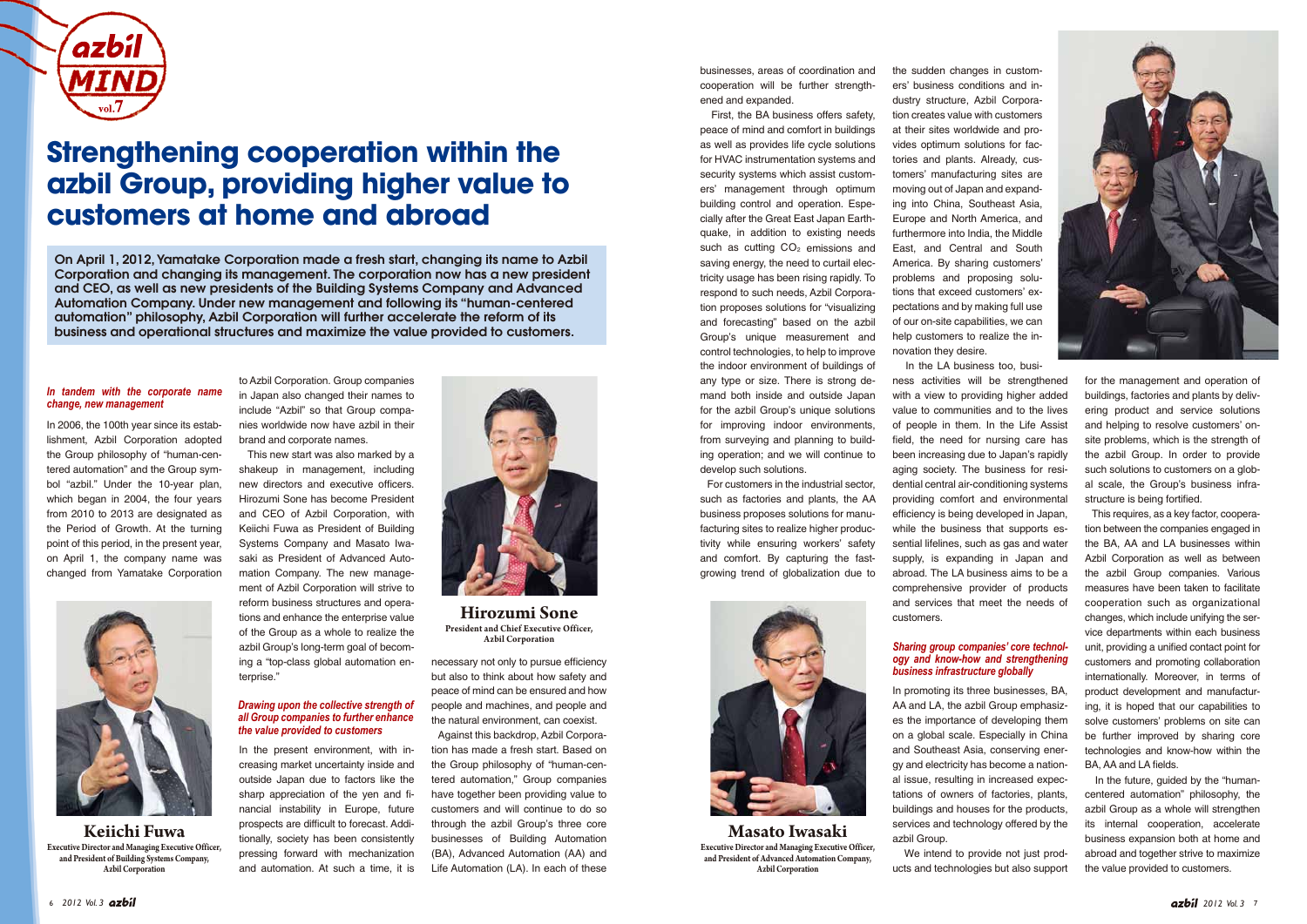for the management and operation of buildings, factories and plants by delivering product and service solutions and helping to resolve customers' onsite problems, which is the strength of the azbil Group. In order to provide such solutions to customers on a global scale, the Group's business infrastructure is being fortified.

 This requires, as a key factor, cooperation between the companies engaged in the BA, AA and LA businesses within Azbil Corporation as well as between the azbil Group companies. Various measures have been taken to facilitate cooperation such as organizational changes, which include unifying the service departments within each business unit, providing a unified contact point for customers and promoting collaboration internationally. Moreover, in terms of product development and manufacturing, it is hoped that our capabilities to solve customers' problems on site can be further improved by sharing core technologies and know-how within the BA, AA and LA fields.

 In the future, guided by the "humancentered automation" philosophy, the azbil Group as a whole will strengthen its internal cooperation, accelerate business expansion both at home and abroad and together strive to maximize the value provided to customers.

In 2006, the 100th year since its establishment, Azbil Corporation adopted the Group philosophy of "human-centered automation" and the Group symbol "azbil." Under the 10-year plan, which began in 2004, the four years from 2010 to 2013 are designated as the Period of Growth. At the turning point of this period, in the present year, on April 1, the company name was changed from Yamatake Corporation

to Azbil Corporation. Group companies in Japan also changed their names to include "Azbil" so that Group companies worldwide now have azbil in their brand and corporate names.

 This new start was also marked by a shakeup in management, including new directors and executive officers. Hirozumi Sone has become President and CEO of Azbil Corporation, with Keiichi Fuwa as President of Building Systems Company and Masato Iwasaki as President of Advanced Automation Company. The new management of Azbil Corporation will strive to reform business structures and operations and enhance the enterprise value of the Group as a whole to realize the azbil Group's long-term goal of becoming a "top-class global automation enterprise."

In the present environment, with increasing market uncertainty inside and outside Japan due to factors like the sharp appreciation of the yen and financial instability in Europe, future prospects are difficult to forecast. Additionally, society has been consistently pressing forward with mechanization and automation. At such a time, it is



necessary not only to pursue efficiency but also to think about how safety and peace of mind can be ensured and how people and machines, and people and the natural environment, can coexist.

 Against this backdrop, Azbil Corporation has made a fresh start. Based on the Group philosophy of "human-centered automation," Group companies have together been providing value to customers and will continue to do so through the azbil Group's three core businesses of Building Automation (BA), Advanced Automation (AA) and Life Automation (LA). In each of these

businesses, areas of coordination and cooperation will be further strengthened and expanded.

 First, the BA business offers safety, peace of mind and comfort in buildings as well as provides life cycle solutions for HVAC instrumentation systems and security systems which assist customers' management through optimum building control and operation. Especially after the Great East Japan Earthquake, in addition to existing needs such as cutting  $CO<sub>2</sub>$  emissions and saving energy, the need to curtail electricity usage has been rising rapidly. To respond to such needs, Azbil Corporation proposes solutions for "visualizing and forecasting" based on the azbil Group's unique measurement and control technologies, to help to improve the indoor environment of buildings of any type or size. There is strong demand both inside and outside Japan for the azbil Group's unique solutions for improving indoor environments, from surveying and planning to building operation; and we will continue to develop such solutions.

 For customers in the industrial sector, such as factories and plants, the AA business proposes solutions for manufacturing sites to realize higher productivity while ensuring workers' safety and comfort. By capturing the fastgrowing trend of globalization due to

the sudden changes in customers' business conditions and industry structure, Azbil Corporation creates value with customers at their sites worldwide and provides optimum solutions for factories and plants. Already, customers' manufacturing sites are moving out of Japan and expanding into China, Southeast Asia, Europe and North America, and furthermore into India, the Middle East, and Central and South America. By sharing customers' problems and proposing solutions that exceed customers' expectations and by making full use of our on-site capabilities, we can help customers to realize the innovation they desire.

 In the LA business too, business activities will be strengthened with a view to providing higher added value to communities and to the lives of people in them. In the Life Assist field, the need for nursing care has been increasing due to Japan's rapidly aging society. The business for residential central air-conditioning systems providing comfort and environmental efficiency is being developed in Japan, while the business that supports essential lifelines, such as gas and water supply, is expanding in Japan and abroad. The LA business aims to be a comprehensive provider of products and services that meet the needs of customers.

In promoting its three businesses, BA, AA and LA, the azbil Group emphasizes the importance of developing them on a global scale. Especially in China and Southeast Asia, conserving energy and electricity has become a national issue, resulting in increased expectations of owners of factories, plants, buildings and houses for the products, services and technology offered by the azbil Group.

 We intend to provide not just products and technologies but also support



#### *Drawing upon the collective strength of all Group companies to further enhance the value provided to customers*

### *In tandem with the corporate name change, new management*

**Hirozumi Sone President and Chief Executive Officer, Azbil Corporation**



**Keiichi Fuwa Executive Director and Managing Executive Officer, and President of Building Systems Company, Azbil Corporation**



**Masato Iwasaki Executive Director and Managing Executive Officer, and President of Advanced Automation Company, Azbil Corporation**

#### *Sharing group companies' core technology and know-how and strengthening business infrastructure globally*



## **Strengthening cooperation within the azbil Group, providing higher value to customers at home and abroad**

On April 1, 2012, Yamatake Corporation made a fresh start, changing its name to Azbil Corporation and changing its management. The corporation now has a new president and CEO, as well as new presidents of the Building Systems Company and Advanced Automation Company. Under new management and following its "human-centered automation" philosophy, Azbil Corporation will further accelerate the reform of its business and operational structures and maximize the value provided to customers.